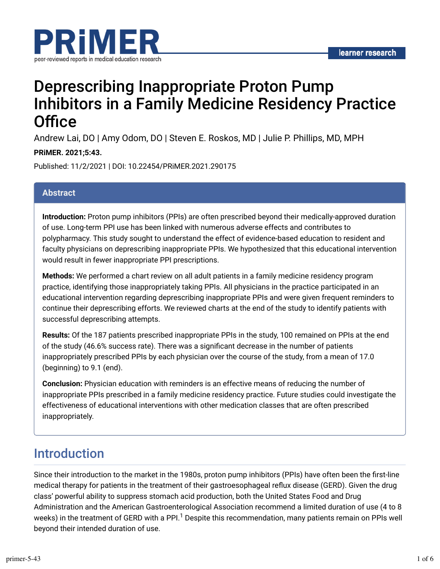

# Deprescribing Inappropriate Proton Pump Inhibitors in a Family Medicine Residency Practice Office

Andrew Lai, DO | Amy Odom, DO | Steven E. Roskos, MD | Julie P. Phillips, MD, MPH

#### **PRiMER. 2021;5:43.**

Published: 11/2/2021 | DOI: 10.22454/PRiMER.2021.290175

### **Abstract**

**Introduction:** Proton pump inhibitors (PPIs) are often prescribed beyond their medically-approved duration of use. Long-term PPI use has been linked with numerous adverse effects and contributes to polypharmacy. This study sought to understand the effect of evidence-based education to resident and faculty physicians on deprescribing inappropriate PPIs. We hypothesized that this educational intervention would result in fewer inappropriate PPI prescriptions.

**Methods:** We performed a chart review on all adult patients in a family medicine residency program practice, identifying those inappropriately taking PPIs. All physicians in the practice participated in an educational intervention regarding deprescribing inappropriate PPIs and were given frequent reminders to continue their deprescribing efforts. We reviewed charts at the end of the study to identify patients with successful deprescribing attempts.

**Results:** Of the 187 patients prescribed inappropriate PPIs in the study, 100 remained on PPIs at the end of the study (46.6% success rate). There was a significant decrease in the number of patients inappropriately prescribed PPIs by each physician over the course of the study, from a mean of 17.0 (beginning) to 9.1 (end).

**Conclusion:** Physician education with reminders is an effective means of reducing the number of inappropriate PPIs prescribed in a family medicine residency practice. Future studies could investigate the effectiveness of educational interventions with other medication classes that are often prescribed inappropriately.

### Introduction

Since their introduction to the market in the 1980s, proton pump inhibitors (PPIs) have often been the first-line medical therapy for patients in the treatment of their gastroesophageal reflux disease (GERD). Given the drug class' powerful ability to suppress stomach acid production, both the United States Food and Drug Administration and the American Gastroenterological Association recommend a limited duration of use (4 to 8 weeks) in the treatment of GERD with a PPI. $^{\rm 1}$  Despite this recommendation, many patients remain on PPIs well beyond their intended duration of use.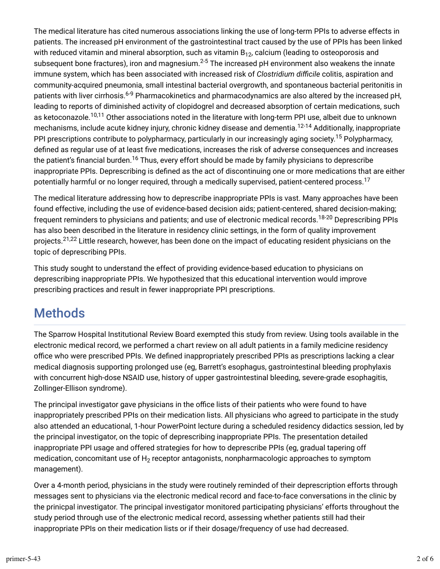The medical literature has cited numerous associations linking the use of long-term PPIs to adverse effects in patients. The increased pH environment of the gastrointestinal tract caused by the use of PPIs has been linked with reduced vitamin and mineral absorption, such as vitamin  $\mathsf{B}_{12}$ , calcium (leading to osteoporosis and subsequent bone fractures), iron and magnesium. $^{2\text{-}5}$  The increased pH environment also weakens the innate immune system, which has been associated with increased risk of *Clostridium difficile* colitis, aspiration and community-acquired pneumonia, small intestinal bacterial overgrowth, and spontaneous bacterial peritonitis in patients with liver cirrhosis.<sup>6-9</sup> Pharmacokinetics and pharmacodynamics are also altered by the increased pH, leading to reports of diminished activity of clopidogrel and decreased absorption of certain medications, such as ketoconazole.<sup>10,11</sup> Other associations noted in the literature with long-term PPI use, albeit due to unknown mechanisms, include acute kidney injury, chronic kidney disease and dementia.<sup>12-14</sup> Additionally, inappropriate PPI prescriptions contribute to polypharmacy, particularly in our increasingly aging society.<sup>15</sup> Polypharmacy, defined as regular use of at least five medications, increases the risk of adverse consequences and increases the patient's financial burden.<sup>16</sup> Thus, every effort should be made by family physicians to deprescribe inappropriate PPIs. Deprescribing is defined as the act of discontinuing one or more medications that are either potentially harmful or no longer required, through a medically supervised, patient-centered process. 17

The medical literature addressing how to deprescribe inappropriate PPIs is vast. Many approaches have been found effective, including the use of evidence-based decision aids; patient-centered, shared decision-making; frequent reminders to physicians and patients; and use of electronic medical records.<sup>18-20</sup> Deprescribing PPIs has also been described in the literature in residency clinic settings, in the form of quality improvement projects.<sup>21,22</sup> Little research, however, has been done on the impact of educating resident physicians on the topic of deprescribing PPIs.

This study sought to understand the effect of providing evidence-based education to physicians on deprescribing inappropriate PPIs. We hypothesized that this educational intervention would improve prescribing practices and result in fewer inappropriate PPI prescriptions.

### **Methods**

The Sparrow Hospital Institutional Review Board exempted this study from review. Using tools available in the electronic medical record, we performed a chart review on all adult patients in a family medicine residency office who were prescribed PPIs. We defined inappropriately prescribed PPIs as prescriptions lacking a clear medical diagnosis supporting prolonged use (eg, Barrett's esophagus, gastrointestinal bleeding prophylaxis with concurrent high-dose NSAID use, history of upper gastrointestinal bleeding, severe-grade esophagitis, Zollinger-Ellison syndrome).

The principal investigator gave physicians in the office lists of their patients who were found to have inappropriately prescribed PPIs on their medication lists. All physicians who agreed to participate in the study also attended an educational, 1-hour PowerPoint lecture during a scheduled residency didactics session, led by the principal investigator, on the topic of deprescribing inappropriate PPIs. The presentation detailed inappropriate PPI usage and offered strategies for how to deprescribe PPIs (eg, gradual tapering off medication, concomitant use of  ${\sf H_2}$  receptor antagonists, nonpharmacologic approaches to symptom management).

Over a 4-month period, physicians in the study were routinely reminded of their deprescription efforts through messages sent to physicians via the electronic medical record and face-to-face conversations in the clinic by the prinicpal investigator. The principal investigator monitored participating physicians' efforts throughout the study period through use of the electronic medical record, assessing whether patients still had their inappropriate PPIs on their medication lists or if their dosage/frequency of use had decreased.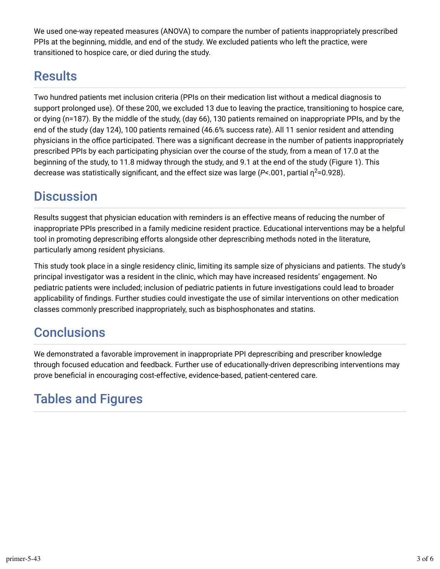We used one-way repeated measures (ANOVA) to compare the number of patients inappropriately prescribed PPIs at the beginning, middle, and end of the study. We excluded patients who left the practice, were transitioned to hospice care, or died during the study.

## Results

Two hundred patients met inclusion criteria (PPIs on their medication list without a medical diagnosis to support prolonged use). Of these 200, we excluded 13 due to leaving the practice, transitioning to hospice care, or dying (n=187). By the middle of the study, (day 66), 130 patients remained on inappropriate PPIs, and by the end of the study (day 124), 100 patients remained (46.6% success rate). All 11 senior resident and attending physicians in the office participated. There was a significant decrease in the number of patients inappropriately prescribed PPIs by each participating physician over the course of the study, from a mean of 17.0 at the beginning of the study, to 11.8 midway through the study, and 9.1 at the end of the study (Figure 1). This decrease was statistically significant, and the effect size was large (P<.001, partial  $\eta^2$ =0.928).

### **Discussion**

Results suggest that physician education with reminders is an effective means of reducing the number of inappropriate PPIs prescribed in a family medicine resident practice. Educational interventions may be a helpful tool in promoting deprescribing efforts alongside other deprescribing methods noted in the literature, particularly among resident physicians.

This study took place in a single residency clinic, limiting its sample size of physicians and patients. The study's principal investigator was a resident in the clinic, which may have increased residents' engagement. No pediatric patients were included; inclusion of pediatric patients in future investigations could lead to broader applicability of findings. Further studies could investigate the use of similar interventions on other medication classes commonly prescribed inappropriately, such as bisphosphonates and statins.

## **Conclusions**

We demonstrated a favorable improvement in inappropriate PPI deprescribing and prescriber knowledge through focused education and feedback. Further use of educationally-driven deprescribing interventions may prove beneficial in encouraging cost-effective, evidence-based, patient-centered care.

## Tables and Figures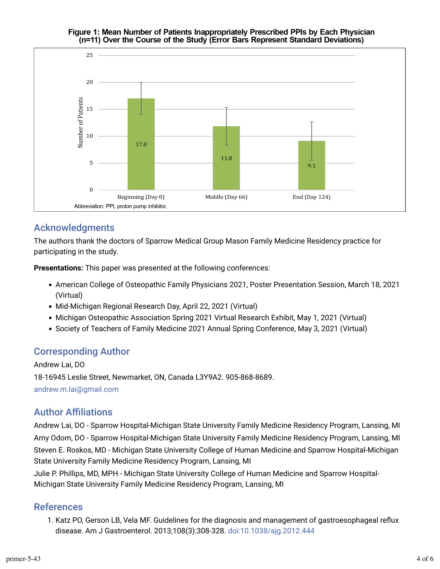#### Figure 1: Mean Number of Patients Inappropriately Prescribed PPIs by Each Physician (n=11) Over the Course of the Study (Error Bars Represent Standard Deviations)



### Acknowledgments

The authors thank the doctors of Sparrow Medical Group Mason Family Medicine Residency practice for participating in the study.

**Presentations:** This paper was presented at the following conferences:

- American College of Osteopathic Family Physicians 2021, Poster Presentation Session, March 18, 2021 (Virtual)
- Mid-Michigan Regional Research Day, April 22, 2021 (Virtual)
- Michigan Osteopathic Association Spring 2021 Virtual Research Exhibit, May 1, 2021 (Virtual)
- Society of Teachers of Family Medicine 2021 Annual Spring Conference, May 3, 2021 (Virtual)

### Corresponding Author

Andrew Lai, DO 18-16945 Leslie Street, Newmarket, ON, Canada L3Y9A2. 905-868-8689. [andrew.m.lai@gmail.com](mailto:andrew.m.lai@gmail.com)

### **Author Affiliations**

Andrew Lai, DO - Sparrow Hospital-Michigan State University Family Medicine Residency Program, Lansing, MI Amy Odom, DO - Sparrow Hospital-Michigan State University Family Medicine Residency Program, Lansing, MI Steven E. Roskos, MD - Michigan State University College of Human Medicine and Sparrow Hospital-Michigan State University Family Medicine Residency Program, Lansing, MI

Julie P. Phillips, MD, MPH - Michigan State University College of Human Medicine and Sparrow Hospital-Michigan State University Family Medicine Residency Program, Lansing, MI

#### References

1. Katz PO, Gerson LB, Vela MF. Guidelines for the diagnosis and management of gastroesophageal reflux disease. Am J Gastroenterol. 2013;108(3):308-328. [doi:10.1038/ajg.2012.444](https://doi.org/10.1038/ajg.2012.444)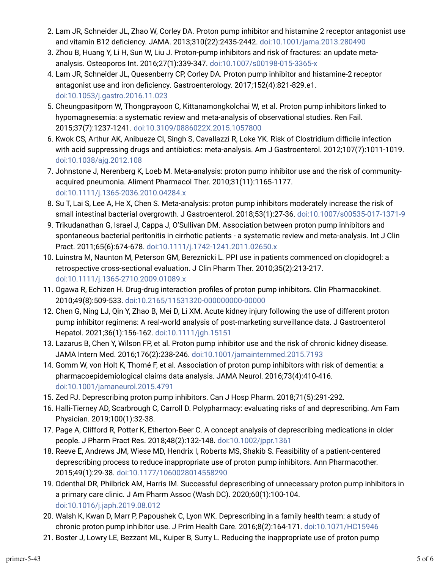- 2. Lam JR, Schneider JL, Zhao W, Corley DA. Proton pump inhibitor and histamine 2 receptor antagonist use and vitamin B12 deficiency. JAMA. 2013;310(22):2435-2442. [doi:10.1001/jama.2013.280490](https://doi.org/10.1001/jama.2013.280490)
- 3. Zhou B, Huang Y, Li H, Sun W, Liu J. Proton-pump inhibitors and risk of fractures: an update metaanalysis. Osteoporos Int. 2016;27(1):339-347. [doi:10.1007/s00198-015-3365-x](https://doi.org/10.1007/s00198-015-3365-x)
- 4. Lam JR, Schneider JL, Quesenberry CP, Corley DA. Proton pump inhibitor and histamine-2 receptor antagonist use and iron deficiency. Gastroenterology. 2017;152(4):821-829.e1. [doi:10.1053/j.gastro.2016.11.023](https://doi.org/10.1053/j.gastro.2016.11.023)
- 5. Cheungpasitporn W, Thongprayoon C, Kittanamongkolchai W, et al. Proton pump inhibitors linked to hypomagnesemia: a systematic review and meta-analysis of observational studies. Ren Fail. 2015;37(7):1237-1241. [doi:10.3109/0886022X.2015.1057800](https://doi.org/10.3109/0886022X.2015.1057800)
- 6. Kwok CS, Arthur AK, Anibueze CI, Singh S, Cavallazzi R, Loke YK. Risk of Clostridium difficile infection with acid suppressing drugs and antibiotics: meta-analysis. Am J Gastroenterol. 2012;107(7):1011-1019. [doi:10.1038/ajg.2012.108](https://doi.org/10.1038/ajg.2012.108)
- 7. Johnstone J, Nerenberg K, Loeb M. Meta-analysis: proton pump inhibitor use and the risk of communityacquired pneumonia. Aliment Pharmacol Ther. 2010;31(11):1165-1177. [doi:10.1111/j.1365-2036.2010.04284.x](https://doi.org/10.1111/j.1365-2036.2010.04284.x)
- r. Su T, Lai S, Lee A, He X, Chen S. Meta-analysis: proton pump inhibitors moderately increase the risk of small intestinal bacterial overgrowth. J Gastroenterol. 2018;53(1):27-36. [doi:10.1007/s00535-017-1371-9](https://doi.org/10.1007/s00535-017-1371-9)
- 9. Trikudanathan G, Israel J, Cappa J, O'Sullivan DM. Association between proton pump inhibitors and spontaneous bacterial peritonitis in cirrhotic patients - a systematic review and meta-analysis. Int J Clin Pract. 2011;65(6):674-678. [doi:10.1111/j.1742-1241.2011.02650.x](https://doi.org/10.1111/j.1742-1241.2011.02650.x)
- 10. Luinstra M, Naunton M, Peterson GM, Bereznicki L. PPI use in patients commenced on clopidogrel: a retrospective cross-sectional evaluation. J Clin Pharm Ther. 2010;35(2):213-217. [doi:10.1111/j.1365-2710.2009.01089.x](https://doi.org/10.1111/j.1365-2710.2009.01089.x)
- 11. Ogawa R, Echizen H. Drug-drug interaction profiles of proton pump inhibitors. Clin Pharmacokinet. 2010;49(8):509-533. [doi:10.2165/11531320-000000000-00000](https://doi.org/10.2165/11531320-000000000-00000)
- 12. Chen G, Ning LJ, Qin Y, Zhao B, Mei D, Li XM. Acute kidney injury following the use of different proton pump inhibitor regimens: A real-world analysis of post-marketing surveillance data. J Gastroenterol Hepatol. 2021;36(1):156-162. [doi:10.1111/jgh.15151](https://doi.org/10.1111/jgh.15151)
- 13. Lazarus B, Chen Y, Wilson FP, et al. Proton pump inhibitor use and the risk of chronic kidney disease. JAMA Intern Med. 2016;176(2):238-246. [doi:10.1001/jamainternmed.2015.7193](https://doi.org/10.1001/jamainternmed.2015.7193)
- 14. Gomm W, von Holt K, Thomé F, et al. Association of proton pump inhibitors with risk of dementia: a pharmacoepidemiological claims data analysis. JAMA Neurol. 2016;73(4):410-416. [doi:10.1001/jamaneurol.2015.4791](https://doi.org/10.1001/jamaneurol.2015.4791)
- 15. Zed PJ. Deprescribing proton pump inhibitors. Can J Hosp Pharm. 2018;71(5):291-292.
- 16. Halli-Tierney AD, Scarbrough C, Carroll D. Polypharmacy: evaluating risks of and deprescribing. Am Fam Physician. 2019;100(1):32-38.
- 17. Page A, Clifford R, Potter K, Etherton-Beer C. A concept analysis of deprescribing medications in older people. J Pharm Pract Res. 2018;48(2):132-148. [doi:10.1002/jppr.1361](https://doi.org/10.1002/jppr.1361)
- 18. Reeve E, Andrews JM, Wiese MD, Hendrix I, Roberts MS, Shakib S. Feasibility of a patient-centered deprescribing process to reduce inappropriate use of proton pump inhibitors. Ann Pharmacother. 2015;49(1):29-38. [doi:10.1177/1060028014558290](https://doi.org/10.1177/1060028014558290)
- 19. Odenthal DR, Philbrick AM, Harris IM. Successful deprescribing of unnecessary proton pump inhibitors in a primary care clinic. J Am Pharm Assoc (Wash DC). 2020;60(1):100-104. [doi:10.1016/j.japh.2019.08.012](https://doi.org/10.1016/j.japh.2019.08.012)
- 20. Walsh K, Kwan D, Marr P, Papoushek C, Lyon WK. Deprescribing in a family health team: a study of chronic proton pump inhibitor use. J Prim Health Care. 2016;8(2):164-171. [doi:10.1071/HC15946](https://doi.org/10.1071/HC15946)
- 21. Boster J, Lowry LE, Bezzant ML, Kuiper B, Surry L. Reducing the inappropriate use of proton pump